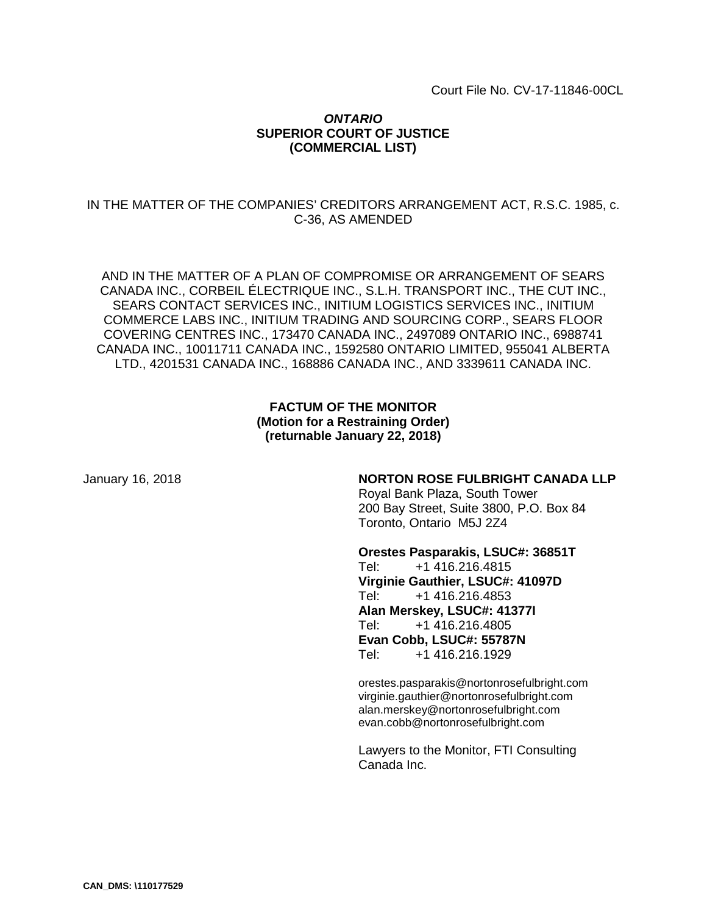Court File No. CV-17-11846-00CL

#### *ONTARIO* **SUPERIOR COURT OF JUSTICE (COMMERCIAL LIST)**

#### IN THE MATTER OF THE COMPANIES' CREDITORS ARRANGEMENT ACT, R.S.C. 1985, c. C-36, AS AMENDED

AND IN THE MATTER OF A PLAN OF COMPROMISE OR ARRANGEMENT OF SEARS CANADA INC., CORBEIL ÉLECTRIQUE INC., S.L.H. TRANSPORT INC., THE CUT INC., SEARS CONTACT SERVICES INC., INITIUM LOGISTICS SERVICES INC., INITIUM COMMERCE LABS INC., INITIUM TRADING AND SOURCING CORP., SEARS FLOOR COVERING CENTRES INC., 173470 CANADA INC., 2497089 ONTARIO INC., 6988741 CANADA INC., 10011711 CANADA INC., 1592580 ONTARIO LIMITED, 955041 ALBERTA LTD., 4201531 CANADA INC., 168886 CANADA INC., AND 3339611 CANADA INC.

#### **FACTUM OF THE MONITOR (Motion for a Restraining Order) (returnable January 22, 2018)**

#### January 16, 2018 **NORTON ROSE FULBRIGHT CANADA LLP**

Royal Bank Plaza, South Tower 200 Bay Street, Suite 3800, P.O. Box 84 Toronto, Ontario M5J 2Z4

**Orestes Pasparakis, LSUC#: 36851T** Tel: +1 416.216.4815 **Virginie Gauthier, LSUC#: 41097D** Tel: +1 416.216.4853 **Alan Merskey, LSUC#: 41377I** Tel: +1 416.216.4805 **Evan Cobb, LSUC#: 55787N**<br>Tel: +1 416.216.1929 Tel: +1 416.216.1929

orestes.pasparakis@nortonrosefulbright.com virginie.gauthier@nortonrosefulbright.com alan.merskey@nortonrosefulbright.com evan.cobb@nortonrosefulbright.com

Lawyers to the Monitor, FTI Consulting Canada Inc.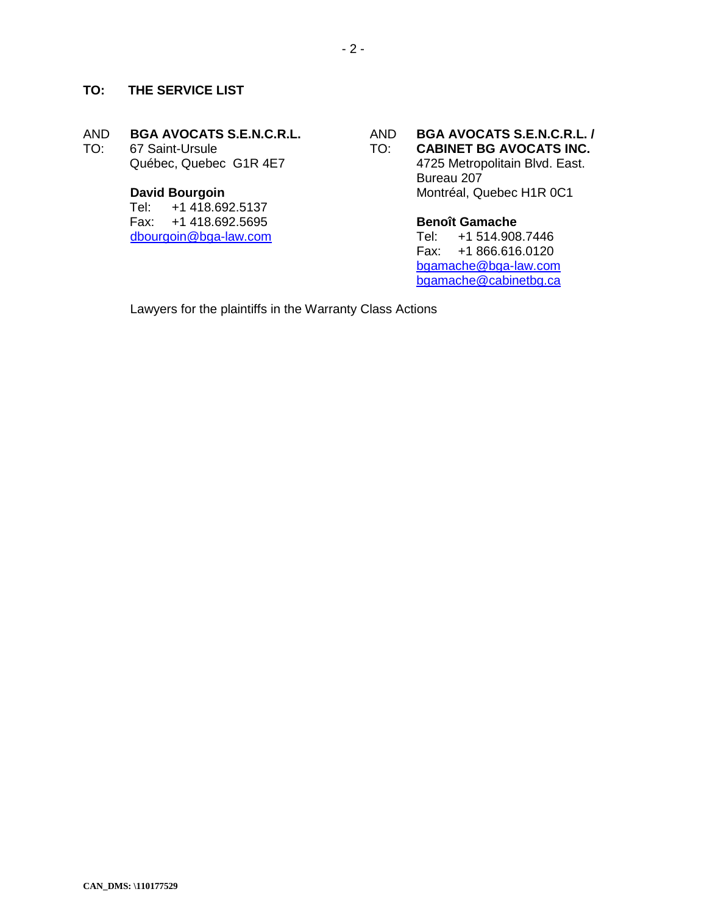#### **TO: THE SERVICE LIST**

#### AND **BGA AVOCATS S.E.N.C.R.L.**

TO: 67 Saint-Ursule Québec, Quebec G1R 4E7

# **David Bourgoin**<br>Tel: +1 418.69

Tel: +1 418.692.5137<br>Fax: +1 418.692.5695 +1 418.692.5695 dbourgoin@bga-law.com

#### AND **BGA AVOCATS S.E.N.C.R.L. /**

TO: **CABINET BG AVOCATS INC.** 4725 Metropolitain Blvd. East. Bureau 207 Montréal, Quebec H1R 0C1

# **Benoît Gamache**<br>Tel: +1 514.908

+1 514.908.7446 Fax: +1 866.616.0120 bgamache@bga-law.com bgamache@cabinetbg.ca

Lawyers for the plaintiffs in the Warranty Class Actions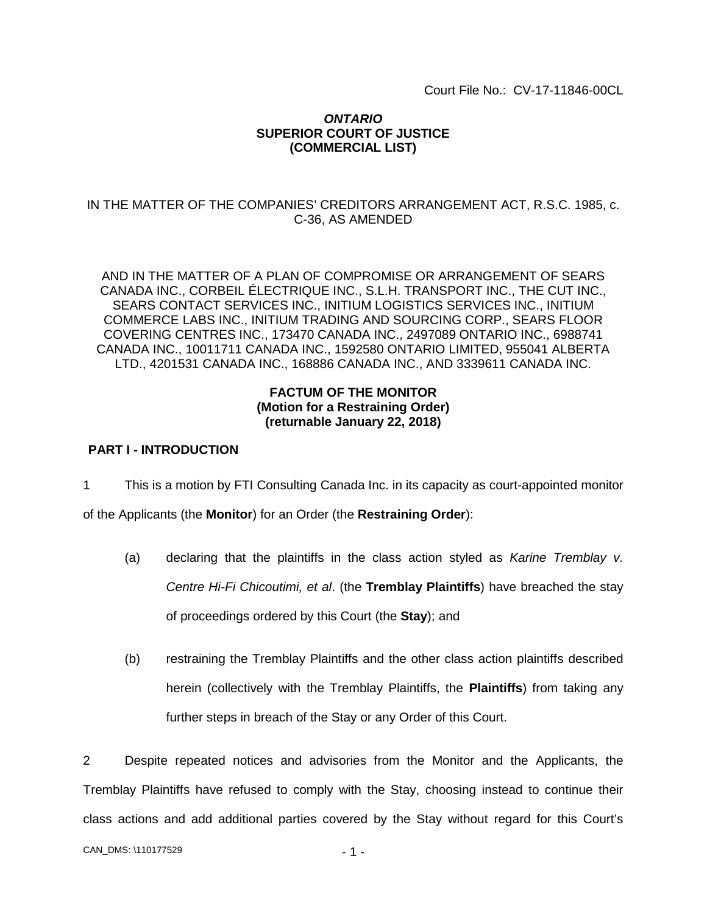Court File No.: CV-17-11846-00CL

#### *ONTARIO* **SUPERIOR COURT OF JUSTICE (COMMERCIAL LIST)**

#### IN THE MATTER OF THE COMPANIES' CREDITORS ARRANGEMENT ACT, R.S.C. 1985, c. C-36, AS AMENDED

AND IN THE MATTER OF A PLAN OF COMPROMISE OR ARRANGEMENT OF SEARS CANADA INC., CORBEIL ÉLECTRIQUE INC., S.L.H. TRANSPORT INC., THE CUT INC., SEARS CONTACT SERVICES INC., INITIUM LOGISTICS SERVICES INC., INITIUM COMMERCE LABS INC., INITIUM TRADING AND SOURCING CORP., SEARS FLOOR COVERING CENTRES INC., 173470 CANADA INC., 2497089 ONTARIO INC., 6988741 CANADA INC., 10011711 CANADA INC., 1592580 ONTARIO LIMITED, 955041 ALBERTA LTD., 4201531 CANADA INC., 168886 CANADA INC., AND 3339611 CANADA INC.

#### **FACTUM OF THE MONITOR (Motion for a Restraining Order) (returnable January 22, 2018)**

#### **PART I - INTRODUCTION**

- 1 This is a motion by FTI Consulting Canada Inc. in its capacity as court-appointed monitor of the Applicants (the **Monitor**) for an Order (the **Restraining Order**):
	- (a) declaring that the plaintiffs in the class action styled as *Karine Tremblay v. Centre Hi-Fi Chicoutimi, et al*. (the **Tremblay Plaintiffs**) have breached the stay of proceedings ordered by this Court (the **Stay**); and
	- (b) restraining the Tremblay Plaintiffs and the other class action plaintiffs described herein (collectively with the Tremblay Plaintiffs, the **Plaintiffs**) from taking any further steps in breach of the Stay or any Order of this Court.

2 Despite repeated notices and advisories from the Monitor and the Applicants, the Tremblay Plaintiffs have refused to comply with the Stay, choosing instead to continue their class actions and add additional parties covered by the Stay without regard for this Court's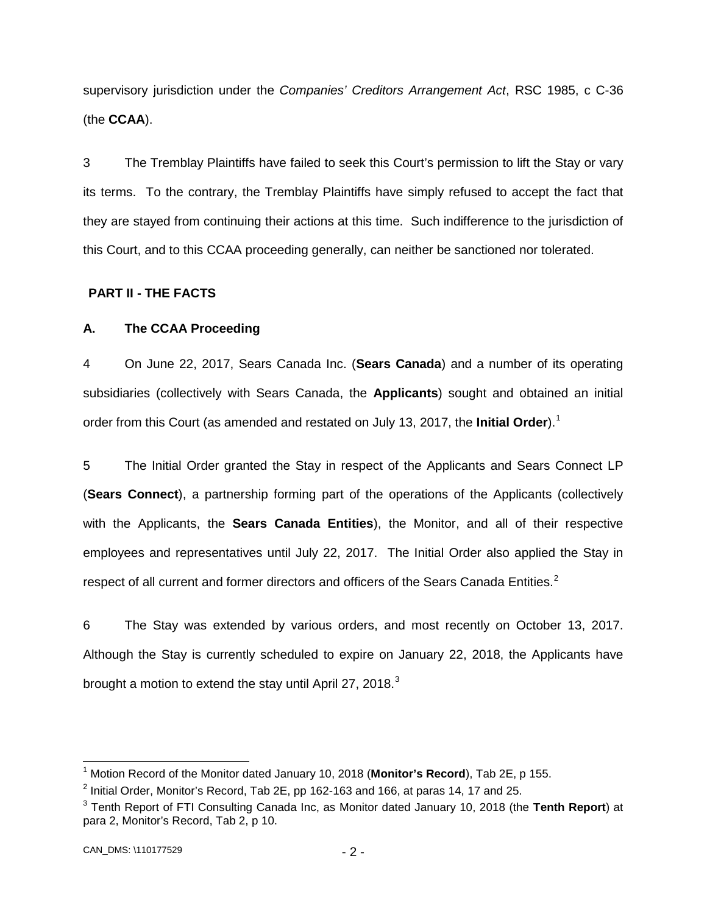supervisory jurisdiction under the *Companies' Creditors Arrangement Act*, RSC 1985, c C-36 (the **CCAA**).

3 The Tremblay Plaintiffs have failed to seek this Court's permission to lift the Stay or vary its terms. To the contrary, the Tremblay Plaintiffs have simply refused to accept the fact that they are stayed from continuing their actions at this time. Such indifference to the jurisdiction of this Court, and to this CCAA proceeding generally, can neither be sanctioned nor tolerated.

### **PART II - THE FACTS**

### **A. The CCAA Proceeding**

4 On June 22, 2017, Sears Canada Inc. (**Sears Canada**) and a number of its operating subsidiaries (collectively with Sears Canada, the **Applicants**) sought and obtained an initial order from this Court (as amended and restated on July 13, 2017, the **Initial Order**).<sup>1</sup>

5 The Initial Order granted the Stay in respect of the Applicants and Sears Connect LP (**Sears Connect**), a partnership forming part of the operations of the Applicants (collectively with the Applicants, the **Sears Canada Entities**), the Monitor, and all of their respective employees and representatives until July 22, 2017. The Initial Order also applied the Stay in respect of all current and former directors and officers of the Sears Canada Entities.<sup>2</sup>

6 The Stay was extended by various orders, and most recently on October 13, 2017. Although the Stay is currently scheduled to expire on January 22, 2018, the Applicants have brought a motion to extend the stay until April 27, 2018. $^3$ 

 <sup>1</sup> Motion Record of the Monitor dated January 10, 2018 (**Monitor's Record**), Tab 2E, p 155.

 $^2$  Initial Order, Monitor's Record, Tab 2E, pp 162-163 and 166, at paras 14, 17 and 25.

<sup>3</sup> Tenth Report of FTI Consulting Canada Inc, as Monitor dated January 10, 2018 (the **Tenth Report**) at para 2, Monitor's Record, Tab 2, p 10.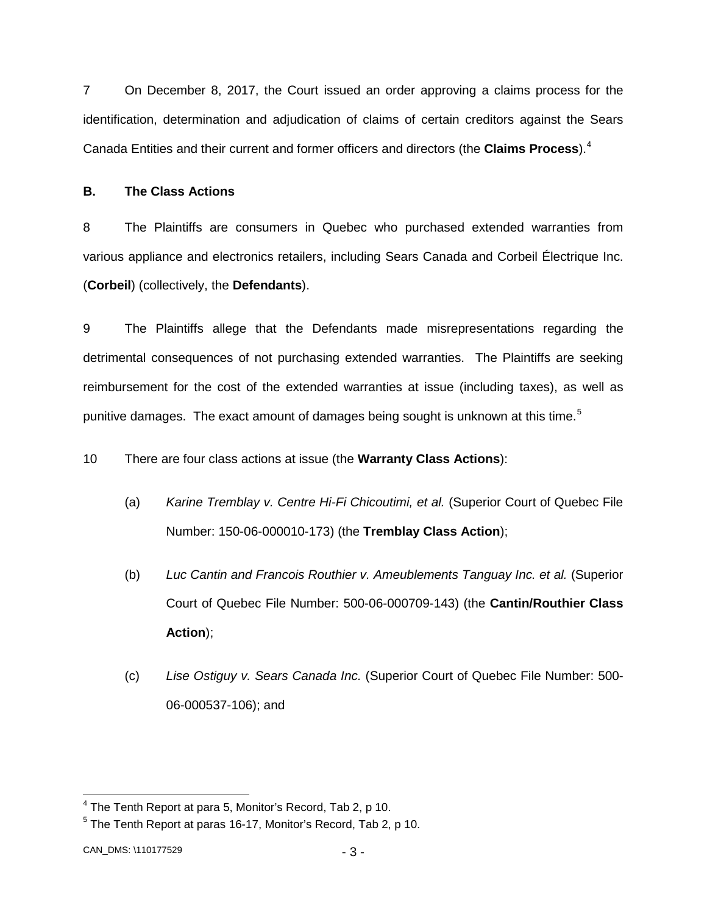7 On December 8, 2017, the Court issued an order approving a claims process for the identification, determination and adjudication of claims of certain creditors against the Sears Canada Entities and their current and former officers and directors (the **Claims Process**).<sup>4</sup>

#### **B. The Class Actions**

8 The Plaintiffs are consumers in Quebec who purchased extended warranties from various appliance and electronics retailers, including Sears Canada and Corbeil Électrique Inc. (**Corbeil**) (collectively, the **Defendants**).

9 The Plaintiffs allege that the Defendants made misrepresentations regarding the detrimental consequences of not purchasing extended warranties. The Plaintiffs are seeking reimbursement for the cost of the extended warranties at issue (including taxes), as well as punitive damages. The exact amount of damages being sought is unknown at this time.<sup>5</sup>

10 There are four class actions at issue (the **Warranty Class Actions**):

- (a) *Karine Tremblay v. Centre Hi-Fi Chicoutimi, et al.* (Superior Court of Quebec File Number: 150-06-000010-173) (the **Tremblay Class Action**);
- (b) *Luc Cantin and Francois Routhier v. Ameublements Tanguay Inc. et al.* (Superior Court of Quebec File Number: 500-06-000709-143) (the **Cantin/Routhier Class Action**);
- (c) *Lise Ostiguy v. Sears Canada Inc.* (Superior Court of Quebec File Number: 500- 06-000537-106); and

 <sup>4</sup> The Tenth Report at para 5, Monitor's Record, Tab 2, p 10.

 $5$  The Tenth Report at paras 16-17, Monitor's Record, Tab 2, p 10.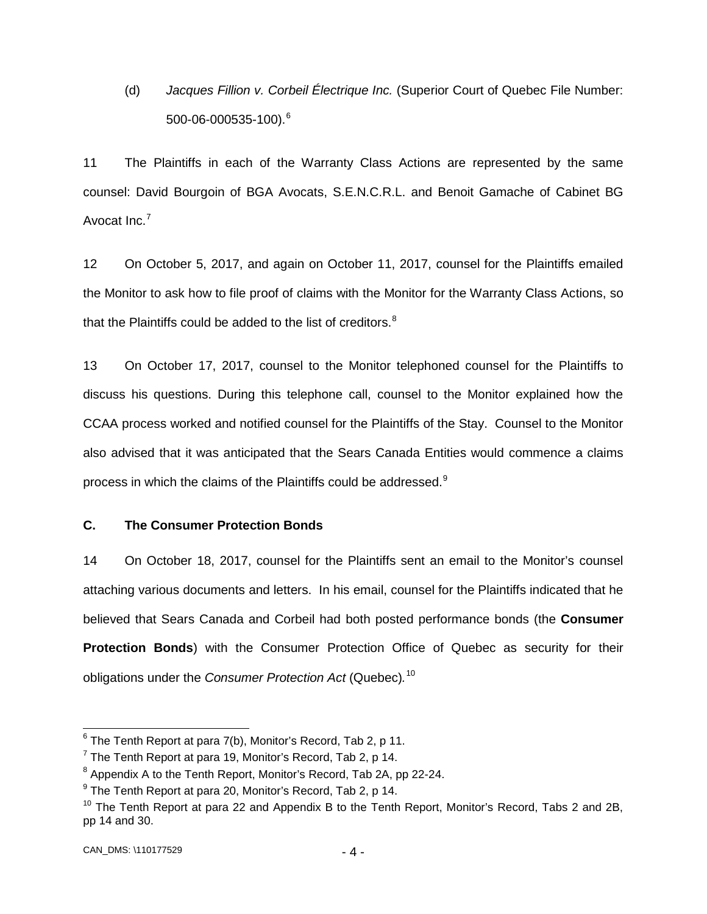(d) *Jacques Fillion v. Corbeil Électrique Inc.* (Superior Court of Quebec File Number: 500-06-000535-100).<sup>6</sup>

11 The Plaintiffs in each of the Warranty Class Actions are represented by the same counsel: David Bourgoin of BGA Avocats, S.E.N.C.R.L. and Benoit Gamache of Cabinet BG Avocat Inc.<sup>7</sup>

12 On October 5, 2017, and again on October 11, 2017, counsel for the Plaintiffs emailed the Monitor to ask how to file proof of claims with the Monitor for the Warranty Class Actions, so that the Plaintiffs could be added to the list of creditors.<sup>8</sup>

13 On October 17, 2017, counsel to the Monitor telephoned counsel for the Plaintiffs to discuss his questions. During this telephone call, counsel to the Monitor explained how the CCAA process worked and notified counsel for the Plaintiffs of the Stay. Counsel to the Monitor also advised that it was anticipated that the Sears Canada Entities would commence a claims process in which the claims of the Plaintiffs could be addressed.<sup>9</sup>

#### **C. The Consumer Protection Bonds**

14 On October 18, 2017, counsel for the Plaintiffs sent an email to the Monitor's counsel attaching various documents and letters. In his email, counsel for the Plaintiffs indicated that he believed that Sears Canada and Corbeil had both posted performance bonds (the **Consumer Protection Bonds**) with the Consumer Protection Office of Quebec as security for their obligations under the *Consumer Protection Act* (Quebec)*.* 10

 $6$  The Tenth Report at para 7(b), Monitor's Record, Tab 2, p 11.

 $7$  The Tenth Report at para 19, Monitor's Record, Tab 2, p 14.

<sup>&</sup>lt;sup>8</sup> Appendix A to the Tenth Report, Monitor's Record, Tab 2A, pp 22-24.

 $9^9$  The Tenth Report at para 20, Monitor's Record, Tab 2, p 14.

 $10$  The Tenth Report at para 22 and Appendix B to the Tenth Report, Monitor's Record, Tabs 2 and 2B, pp 14 and 30.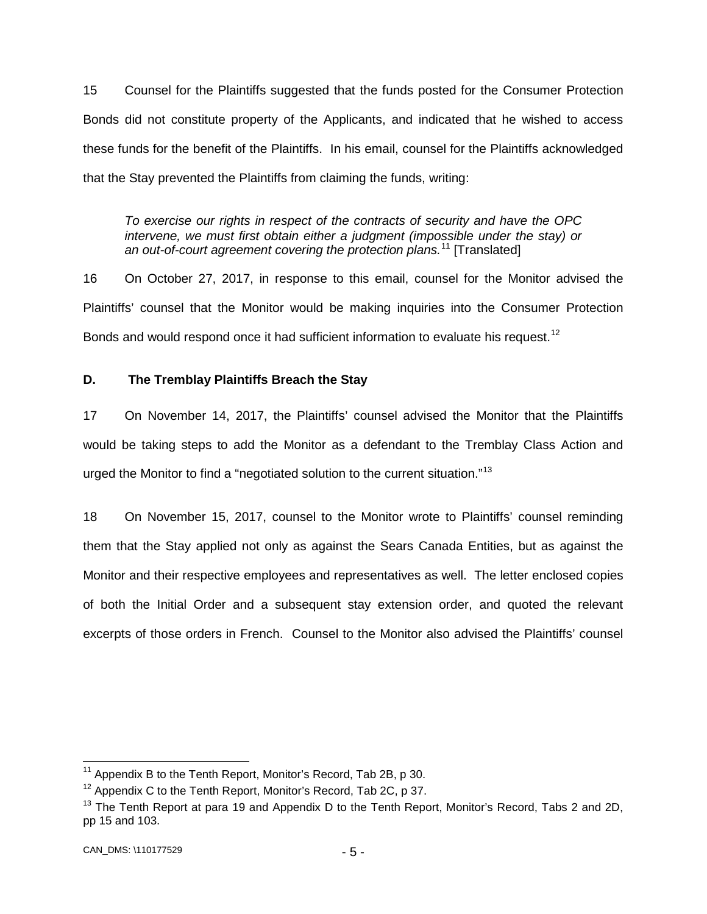15 Counsel for the Plaintiffs suggested that the funds posted for the Consumer Protection Bonds did not constitute property of the Applicants, and indicated that he wished to access these funds for the benefit of the Plaintiffs. In his email, counsel for the Plaintiffs acknowledged that the Stay prevented the Plaintiffs from claiming the funds, writing:

*To exercise our rights in respect of the contracts of security and have the OPC intervene, we must first obtain either a judgment (impossible under the stay) or an out-of-court agreement covering the protection plans.*<sup>11</sup> [Translated]

16 On October 27, 2017, in response to this email, counsel for the Monitor advised the Plaintiffs' counsel that the Monitor would be making inquiries into the Consumer Protection Bonds and would respond once it had sufficient information to evaluate his request.<sup>12</sup>

#### **D. The Tremblay Plaintiffs Breach the Stay**

17 On November 14, 2017, the Plaintiffs' counsel advised the Monitor that the Plaintiffs would be taking steps to add the Monitor as a defendant to the Tremblay Class Action and urged the Monitor to find a "negotiated solution to the current situation."<sup>13</sup>

18 On November 15, 2017, counsel to the Monitor wrote to Plaintiffs' counsel reminding them that the Stay applied not only as against the Sears Canada Entities, but as against the Monitor and their respective employees and representatives as well. The letter enclosed copies of both the Initial Order and a subsequent stay extension order, and quoted the relevant excerpts of those orders in French. Counsel to the Monitor also advised the Plaintiffs' counsel

<sup>&</sup>lt;sup>11</sup> Appendix B to the Tenth Report, Monitor's Record, Tab 2B, p 30.

 $12$  Appendix C to the Tenth Report, Monitor's Record, Tab 2C, p 37.

 $13$  The Tenth Report at para 19 and Appendix D to the Tenth Report, Monitor's Record, Tabs 2 and 2D, pp 15 and 103.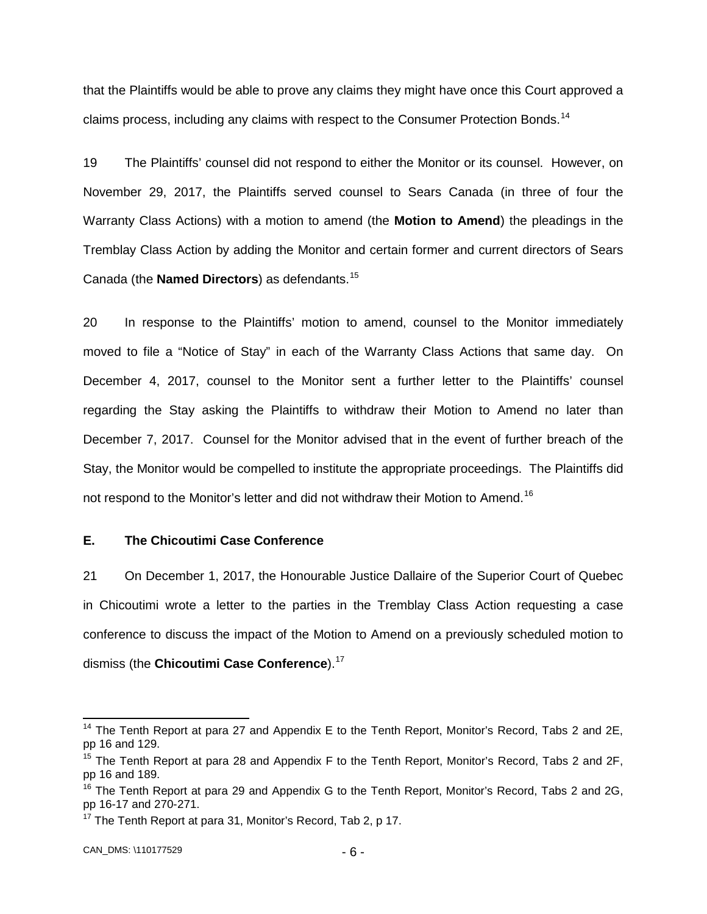that the Plaintiffs would be able to prove any claims they might have once this Court approved a claims process, including any claims with respect to the Consumer Protection Bonds.<sup>14</sup>

19 The Plaintiffs' counsel did not respond to either the Monitor or its counsel. However, on November 29, 2017, the Plaintiffs served counsel to Sears Canada (in three of four the Warranty Class Actions) with a motion to amend (the **Motion to Amend**) the pleadings in the Tremblay Class Action by adding the Monitor and certain former and current directors of Sears Canada (the **Named Directors**) as defendants.<sup>15</sup>

20 In response to the Plaintiffs' motion to amend, counsel to the Monitor immediately moved to file a "Notice of Stay" in each of the Warranty Class Actions that same day. On December 4, 2017, counsel to the Monitor sent a further letter to the Plaintiffs' counsel regarding the Stay asking the Plaintiffs to withdraw their Motion to Amend no later than December 7, 2017. Counsel for the Monitor advised that in the event of further breach of the Stay, the Monitor would be compelled to institute the appropriate proceedings. The Plaintiffs did not respond to the Monitor's letter and did not withdraw their Motion to Amend.<sup>16</sup>

#### **E. The Chicoutimi Case Conference**

21 On December 1, 2017, the Honourable Justice Dallaire of the Superior Court of Quebec in Chicoutimi wrote a letter to the parties in the Tremblay Class Action requesting a case conference to discuss the impact of the Motion to Amend on a previously scheduled motion to dismiss (the **Chicoutimi Case Conference**).<sup>17</sup>

 $14$  The Tenth Report at para 27 and Appendix E to the Tenth Report, Monitor's Record, Tabs 2 and 2E, pp 16 and 129.

 $15$  The Tenth Report at para 28 and Appendix F to the Tenth Report, Monitor's Record, Tabs 2 and 2F, pp 16 and 189.

 $16$  The Tenth Report at para 29 and Appendix G to the Tenth Report, Monitor's Record, Tabs 2 and 2G, pp 16-17 and 270-271.

 $17$  The Tenth Report at para 31, Monitor's Record, Tab 2, p 17.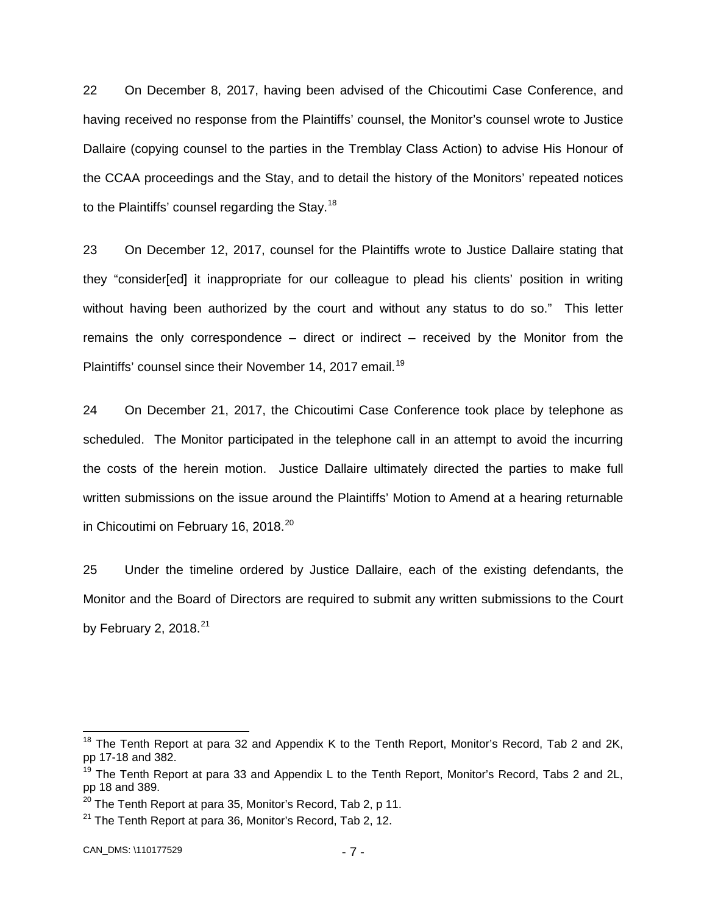22 On December 8, 2017, having been advised of the Chicoutimi Case Conference, and having received no response from the Plaintiffs' counsel, the Monitor's counsel wrote to Justice Dallaire (copying counsel to the parties in the Tremblay Class Action) to advise His Honour of the CCAA proceedings and the Stay, and to detail the history of the Monitors' repeated notices to the Plaintiffs' counsel regarding the Stay.<sup>18</sup>

23 On December 12, 2017, counsel for the Plaintiffs wrote to Justice Dallaire stating that they "consider[ed] it inappropriate for our colleague to plead his clients' position in writing without having been authorized by the court and without any status to do so." This letter remains the only correspondence – direct or indirect – received by the Monitor from the Plaintiffs' counsel since their November 14, 2017 email.<sup>19</sup>

24 On December 21, 2017, the Chicoutimi Case Conference took place by telephone as scheduled. The Monitor participated in the telephone call in an attempt to avoid the incurring the costs of the herein motion. Justice Dallaire ultimately directed the parties to make full written submissions on the issue around the Plaintiffs' Motion to Amend at a hearing returnable in Chicoutimi on February 16, 2018.<sup>20</sup>

25 Under the timeline ordered by Justice Dallaire, each of the existing defendants, the Monitor and the Board of Directors are required to submit any written submissions to the Court by February 2, 2018. $^{21}$ 

 $18$  The Tenth Report at para 32 and Appendix K to the Tenth Report, Monitor's Record, Tab 2 and 2K, pp 17-18 and 382.

 $19$  The Tenth Report at para 33 and Appendix L to the Tenth Report, Monitor's Record, Tabs 2 and 2L, pp 18 and 389.

 $20$  The Tenth Report at para 35, Monitor's Record, Tab 2, p 11.

 $21$  The Tenth Report at para 36, Monitor's Record, Tab 2, 12.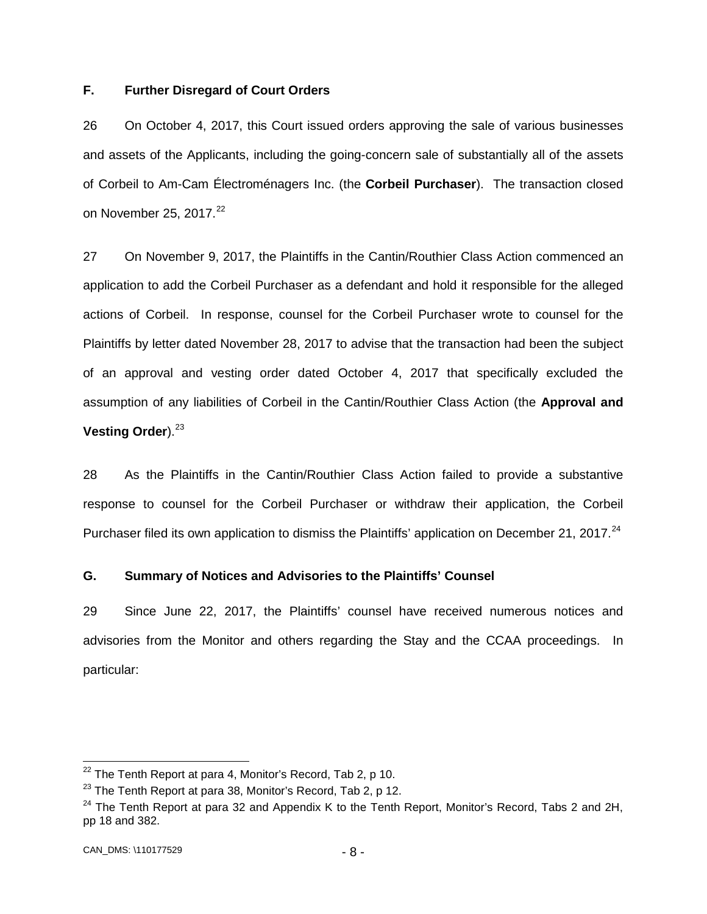#### **F. Further Disregard of Court Orders**

26 On October 4, 2017, this Court issued orders approving the sale of various businesses and assets of the Applicants, including the going-concern sale of substantially all of the assets of Corbeil to Am-Cam Électroménagers Inc. (the **Corbeil Purchaser**). The transaction closed on November 25, 2017. $^{22}$ 

27 On November 9, 2017, the Plaintiffs in the Cantin/Routhier Class Action commenced an application to add the Corbeil Purchaser as a defendant and hold it responsible for the alleged actions of Corbeil. In response, counsel for the Corbeil Purchaser wrote to counsel for the Plaintiffs by letter dated November 28, 2017 to advise that the transaction had been the subject of an approval and vesting order dated October 4, 2017 that specifically excluded the assumption of any liabilities of Corbeil in the Cantin/Routhier Class Action (the **Approval and**  Vesting Order).<sup>23</sup>

28 As the Plaintiffs in the Cantin/Routhier Class Action failed to provide a substantive response to counsel for the Corbeil Purchaser or withdraw their application, the Corbeil Purchaser filed its own application to dismiss the Plaintiffs' application on December 21, 2017.<sup>24</sup>

#### **G. Summary of Notices and Advisories to the Plaintiffs' Counsel**

29 Since June 22, 2017, the Plaintiffs' counsel have received numerous notices and advisories from the Monitor and others regarding the Stay and the CCAA proceedings. In particular:

 $22$  The Tenth Report at para 4, Monitor's Record, Tab 2, p 10.

 $^{23}$  The Tenth Report at para 38, Monitor's Record, Tab 2, p 12.

 $24$  The Tenth Report at para 32 and Appendix K to the Tenth Report, Monitor's Record, Tabs 2 and 2H, pp 18 and 382.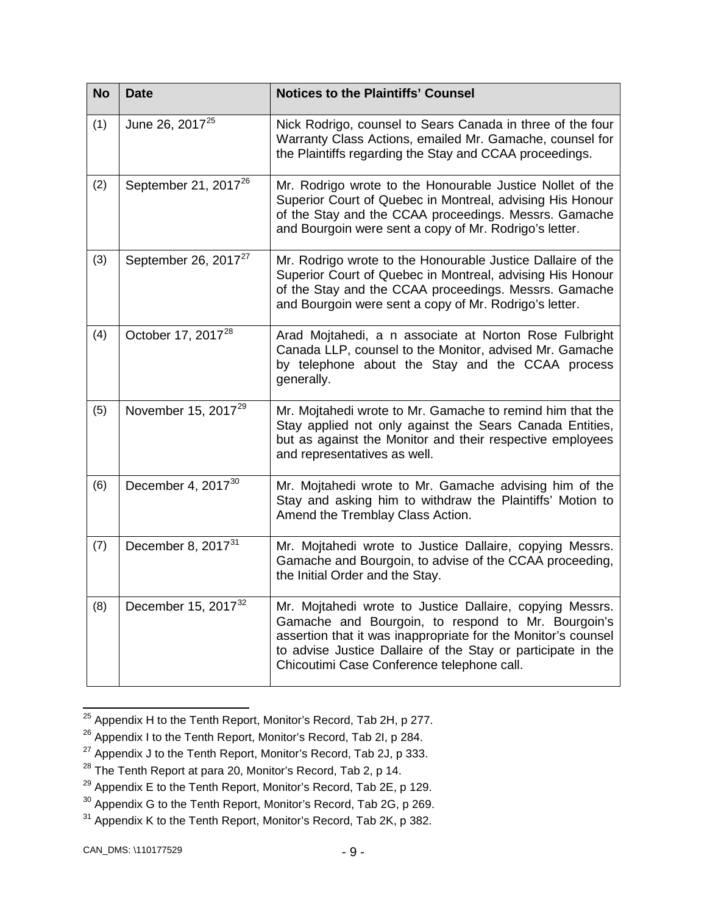| <b>No</b> | <b>Date</b>                      | <b>Notices to the Plaintiffs' Counsel</b>                                                                                                                                                                                                                                                     |
|-----------|----------------------------------|-----------------------------------------------------------------------------------------------------------------------------------------------------------------------------------------------------------------------------------------------------------------------------------------------|
| (1)       | June 26, 2017 <sup>25</sup>      | Nick Rodrigo, counsel to Sears Canada in three of the four<br>Warranty Class Actions, emailed Mr. Gamache, counsel for<br>the Plaintiffs regarding the Stay and CCAA proceedings.                                                                                                             |
| (2)       | September 21, 2017 <sup>26</sup> | Mr. Rodrigo wrote to the Honourable Justice Nollet of the<br>Superior Court of Quebec in Montreal, advising His Honour<br>of the Stay and the CCAA proceedings. Messrs. Gamache<br>and Bourgoin were sent a copy of Mr. Rodrigo's letter.                                                     |
| (3)       | September 26, 2017 <sup>27</sup> | Mr. Rodrigo wrote to the Honourable Justice Dallaire of the<br>Superior Court of Quebec in Montreal, advising His Honour<br>of the Stay and the CCAA proceedings. Messrs. Gamache<br>and Bourgoin were sent a copy of Mr. Rodrigo's letter.                                                   |
| (4)       | October 17, 2017 <sup>28</sup>   | Arad Mojtahedi, a n associate at Norton Rose Fulbright<br>Canada LLP, counsel to the Monitor, advised Mr. Gamache<br>by telephone about the Stay and the CCAA process<br>generally.                                                                                                           |
| (5)       | November 15, 2017 <sup>29</sup>  | Mr. Mojtahedi wrote to Mr. Gamache to remind him that the<br>Stay applied not only against the Sears Canada Entities,<br>but as against the Monitor and their respective employees<br>and representatives as well.                                                                            |
| (6)       | December 4, $2017^{30}$          | Mr. Mojtahedi wrote to Mr. Gamache advising him of the<br>Stay and asking him to withdraw the Plaintiffs' Motion to<br>Amend the Tremblay Class Action.                                                                                                                                       |
| (7)       | December 8, 2017 <sup>31</sup>   | Mr. Mojtahedi wrote to Justice Dallaire, copying Messrs.<br>Gamache and Bourgoin, to advise of the CCAA proceeding,<br>the Initial Order and the Stay.                                                                                                                                        |
| (8)       | December 15, 2017 <sup>32</sup>  | Mr. Mojtahedi wrote to Justice Dallaire, copying Messrs.<br>Gamache and Bourgoin, to respond to Mr. Bourgoin's<br>assertion that it was inappropriate for the Monitor's counsel<br>to advise Justice Dallaire of the Stay or participate in the<br>Chicoutimi Case Conference telephone call. |

 <sup>25</sup> Appendix H to the Tenth Report, Monitor's Record, Tab 2H, p 277.

<sup>&</sup>lt;sup>26</sup> Appendix I to the Tenth Report, Monitor's Record, Tab 2I, p 284.

<sup>&</sup>lt;sup>27</sup> Appendix J to the Tenth Report, Monitor's Record, Tab 2J, p 333.

<sup>&</sup>lt;sup>28</sup> The Tenth Report at para 20, Monitor's Record, Tab 2, p 14.

 $29$  Appendix E to the Tenth Report, Monitor's Record, Tab 2E, p 129.

<sup>&</sup>lt;sup>30</sup> Appendix G to the Tenth Report, Monitor's Record, Tab 2G, p 269.

<sup>&</sup>lt;sup>31</sup> Appendix K to the Tenth Report, Monitor's Record, Tab 2K, p 382.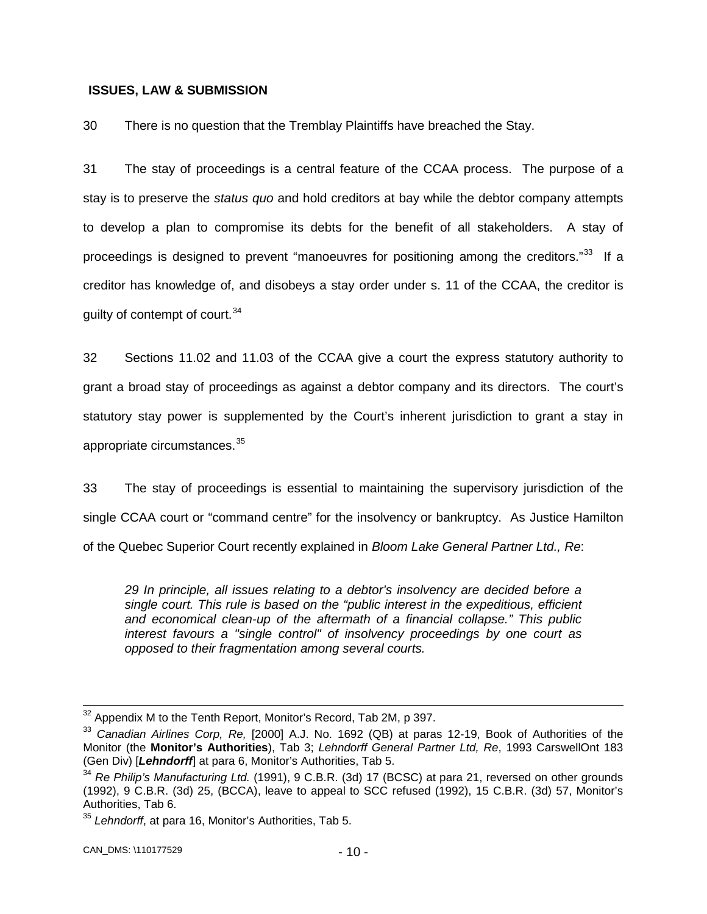#### **ISSUES, LAW & SUBMISSION**

30 There is no question that the Tremblay Plaintiffs have breached the Stay.

31 The stay of proceedings is a central feature of the CCAA process. The purpose of a stay is to preserve the *status quo* and hold creditors at bay while the debtor company attempts to develop a plan to compromise its debts for the benefit of all stakeholders. A stay of proceedings is designed to prevent "manoeuvres for positioning among the creditors."<sup>33</sup> If a creditor has knowledge of, and disobeys a stay order under s. 11 of the CCAA, the creditor is quilty of contempt of court.<sup>34</sup>

32 Sections 11.02 and 11.03 of the CCAA give a court the express statutory authority to grant a broad stay of proceedings as against a debtor company and its directors. The court's statutory stay power is supplemented by the Court's inherent jurisdiction to grant a stay in appropriate circumstances.<sup>35</sup>

33 The stay of proceedings is essential to maintaining the supervisory jurisdiction of the single CCAA court or "command centre" for the insolvency or bankruptcy. As Justice Hamilton of the Quebec Superior Court recently explained in *Bloom Lake General Partner Ltd., Re*:

*29 In principle, all issues relating to a debtor's insolvency are decided before a single court. This rule is based on the "public interest in the expeditious, efficient and economical clean-up of the aftermath of a financial collapse." This public interest favours a "single control" of insolvency proceedings by one court as opposed to their fragmentation among several courts.*

<sup>&</sup>lt;sup>32</sup> Appendix M to the Tenth Report, Monitor's Record, Tab 2M, p 397.

<sup>33</sup> *Canadian Airlines Corp, Re,* [2000] A.J. No. 1692 (QB) at paras 12-19, Book of Authorities of the Monitor (the **Monitor's Authorities**), Tab 3; *Lehndorff General Partner Ltd, Re*, 1993 CarswellOnt 183 (Gen Div) [*Lehndorff*] at para 6, Monitor's Authorities, Tab 5.

<sup>&</sup>lt;sup>34</sup> Re Philip's Manufacturing Ltd. (1991), 9 C.B.R. (3d) 17 (BCSC) at para 21, reversed on other grounds (1992), 9 C.B.R. (3d) 25, (BCCA), leave to appeal to SCC refused (1992), 15 C.B.R. (3d) 57, Monitor's Authorities, Tab 6.

<sup>35</sup> *Lehndorff*, at para 16, Monitor's Authorities, Tab 5.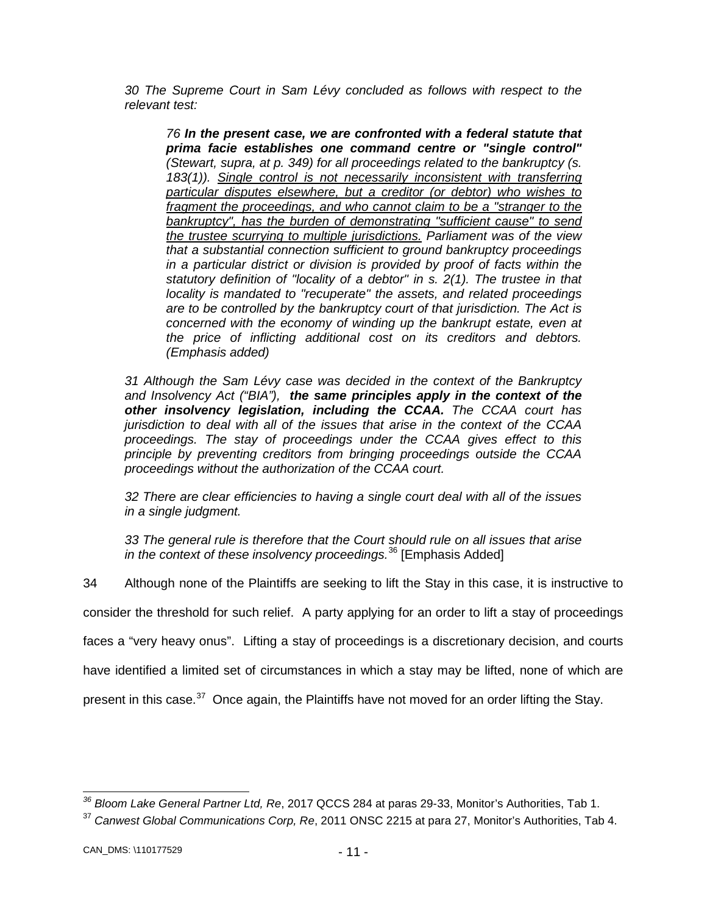*30 The Supreme Court in Sam Lévy concluded as follows with respect to the relevant test:* 

*76 In the present case, we are confronted with a federal statute that prima facie establishes one command centre or "single control" (Stewart, supra, at p. 349) for all proceedings related to the bankruptcy (s.*  183(1)). Single control is not necessarily inconsistent with transferring *particular disputes elsewhere, but a creditor (or debtor) who wishes to fragment the proceedings, and who cannot claim to be a "stranger to the bankruptcy", has the burden of demonstrating "sufficient cause" to send the trustee scurrying to multiple jurisdictions. Parliament was of the view that a substantial connection sufficient to ground bankruptcy proceedings in a particular district or division is provided by proof of facts within the statutory definition of "locality of a debtor" in s. 2(1). The trustee in that locality is mandated to "recuperate" the assets, and related proceedings are to be controlled by the bankruptcy court of that jurisdiction. The Act is concerned with the economy of winding up the bankrupt estate, even at the price of inflicting additional cost on its creditors and debtors. (Emphasis added)*

*31 Although the Sam Lévy case was decided in the context of the Bankruptcy and Insolvency Act ("BIA"), the same principles apply in the context of the other insolvency legislation, including the CCAA. The CCAA court has jurisdiction to deal with all of the issues that arise in the context of the CCAA proceedings. The stay of proceedings under the CCAA gives effect to this principle by preventing creditors from bringing proceedings outside the CCAA proceedings without the authorization of the CCAA court.*

*32 There are clear efficiencies to having a single court deal with all of the issues in a single judgment.*

*33 The general rule is therefore that the Court should rule on all issues that arise in the context of these insolvency proceedings.*<sup>36</sup> [Emphasis Added]

34 Although none of the Plaintiffs are seeking to lift the Stay in this case, it is instructive to

consider the threshold for such relief. A party applying for an order to lift a stay of proceedings

faces a "very heavy onus". Lifting a stay of proceedings is a discretionary decision, and courts

have identified a limited set of circumstances in which a stay may be lifted, none of which are

present in this case.<sup>37</sup> Once again, the Plaintiffs have not moved for an order lifting the Stay.

*<sup>36</sup> Bloom Lake General Partner Ltd, Re*, 2017 QCCS 284 at paras 29-33, Monitor's Authorities, Tab 1.

<sup>37</sup> *Canwest Global Communications Corp, Re*, 2011 ONSC 2215 at para 27, Monitor's Authorities, Tab 4.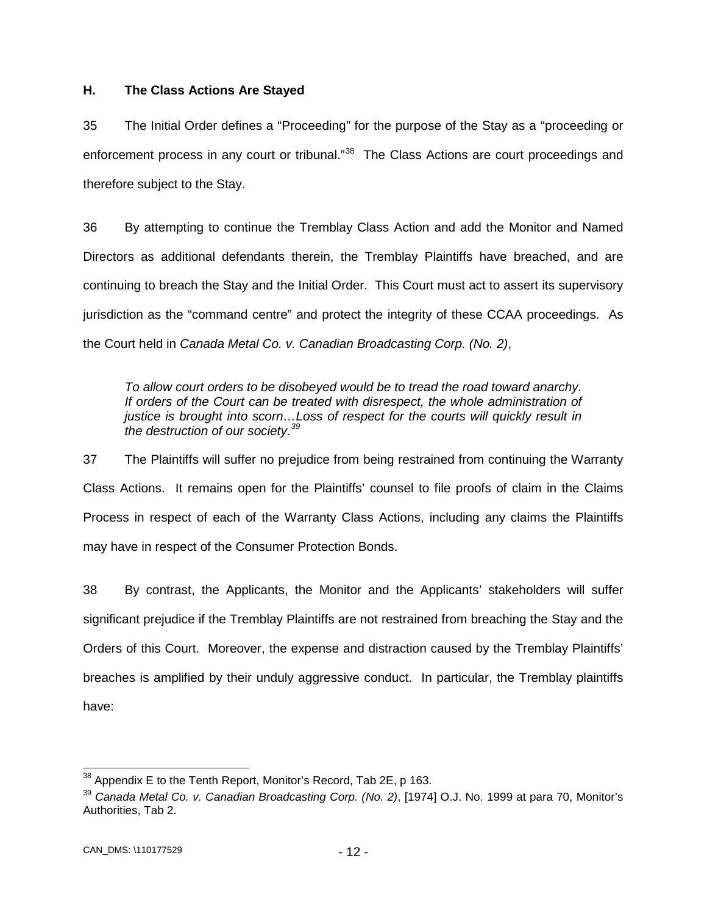#### **H. The Class Actions Are Stayed**

35 The Initial Order defines a "Proceeding" for the purpose of the Stay as a "proceeding or enforcement process in any court or tribunal."<sup>38</sup> The Class Actions are court proceedings and therefore subject to the Stay.

36 By attempting to continue the Tremblay Class Action and add the Monitor and Named Directors as additional defendants therein, the Tremblay Plaintiffs have breached, and are continuing to breach the Stay and the Initial Order. This Court must act to assert its supervisory jurisdiction as the "command centre" and protect the integrity of these CCAA proceedings. As the Court held in *Canada Metal Co. v. Canadian Broadcasting Corp. (No. 2)*,

*To allow court orders to be disobeyed would be to tread the road toward anarchy.*  If orders of the Court can be treated with disrespect, the whole administration of *justice is brought into scorn…Loss of respect for the courts will quickly result in the destruction of our society.<sup>39</sup>*

37 The Plaintiffs will suffer no prejudice from being restrained from continuing the Warranty Class Actions. It remains open for the Plaintiffs' counsel to file proofs of claim in the Claims Process in respect of each of the Warranty Class Actions, including any claims the Plaintiffs may have in respect of the Consumer Protection Bonds.

38 By contrast, the Applicants, the Monitor and the Applicants' stakeholders will suffer significant prejudice if the Tremblay Plaintiffs are not restrained from breaching the Stay and the Orders of this Court. Moreover, the expense and distraction caused by the Tremblay Plaintiffs' breaches is amplified by their unduly aggressive conduct. In particular, the Tremblay plaintiffs have:

 $38$  Appendix E to the Tenth Report, Monitor's Record, Tab 2E, p 163.

<sup>39</sup> *Canada Metal Co. v. Canadian Broadcasting Corp. (No. 2)*, [1974] O.J. No. 1999 at para 70, Monitor's Authorities, Tab 2.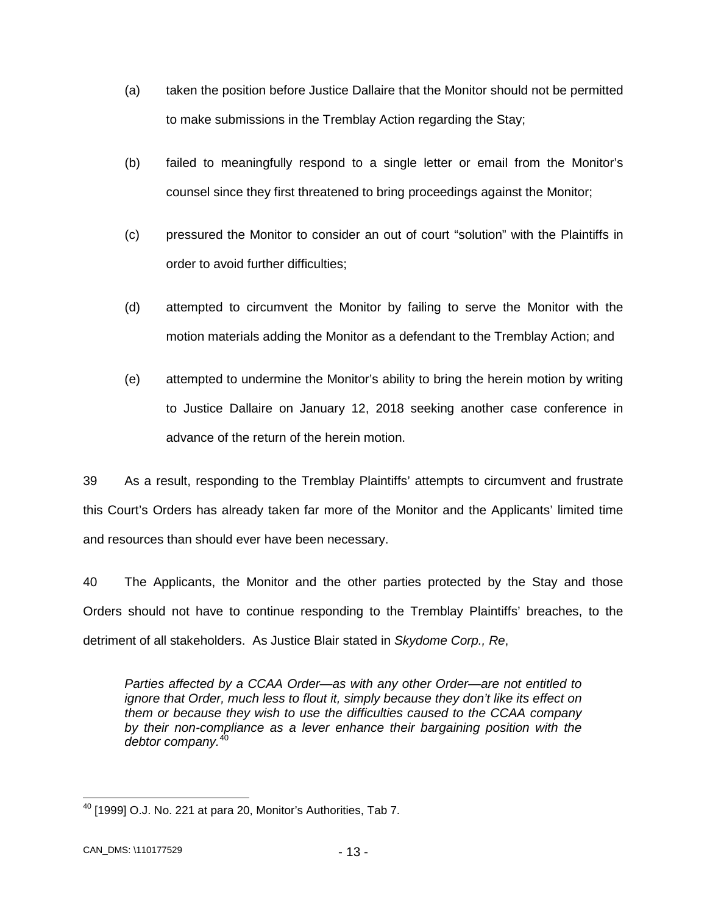- (a) taken the position before Justice Dallaire that the Monitor should not be permitted to make submissions in the Tremblay Action regarding the Stay;
- (b) failed to meaningfully respond to a single letter or email from the Monitor's counsel since they first threatened to bring proceedings against the Monitor;
- (c) pressured the Monitor to consider an out of court "solution" with the Plaintiffs in order to avoid further difficulties;
- (d) attempted to circumvent the Monitor by failing to serve the Monitor with the motion materials adding the Monitor as a defendant to the Tremblay Action; and
- (e) attempted to undermine the Monitor's ability to bring the herein motion by writing to Justice Dallaire on January 12, 2018 seeking another case conference in advance of the return of the herein motion.

39 As a result, responding to the Tremblay Plaintiffs' attempts to circumvent and frustrate this Court's Orders has already taken far more of the Monitor and the Applicants' limited time and resources than should ever have been necessary.

40 The Applicants, the Monitor and the other parties protected by the Stay and those Orders should not have to continue responding to the Tremblay Plaintiffs' breaches, to the detriment of all stakeholders. As Justice Blair stated in *Skydome Corp., Re*,

*Parties affected by a CCAA Order—as with any other Order—are not entitled to ignore that Order, much less to flout it, simply because they don't like its effect on them or because they wish to use the difficulties caused to the CCAA company by their non-compliance as a lever enhance their bargaining position with the debtor company.* 40

 $40$  [1999] O.J. No. 221 at para 20, Monitor's Authorities, Tab 7.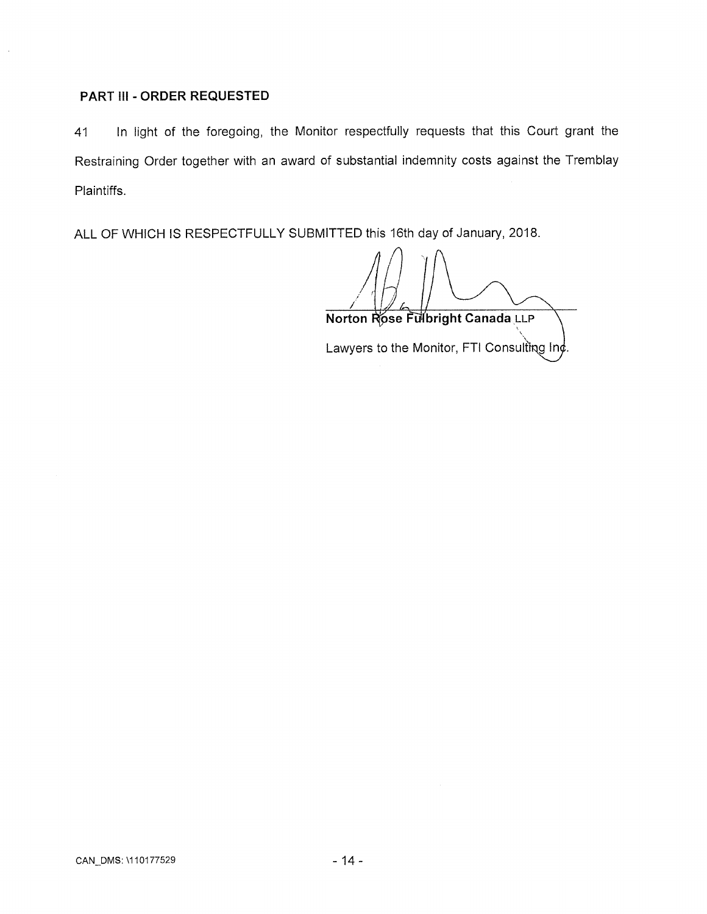#### **PART III - ORDER REQUESTED**

41 In light of the foregoing, the Monitor respectfully requests that this Court grant the Restraining Order together with an award of substantial indemnity costs against the Tremblay Plaintiffs.

ALL OF WHICH IS RESPECTFULLY SUBMITTED this 16th day of January, 2018.

**Norton Rose Fulbright Canada LLP** 

Lawyers to the Monitor, FTI Consulting Ind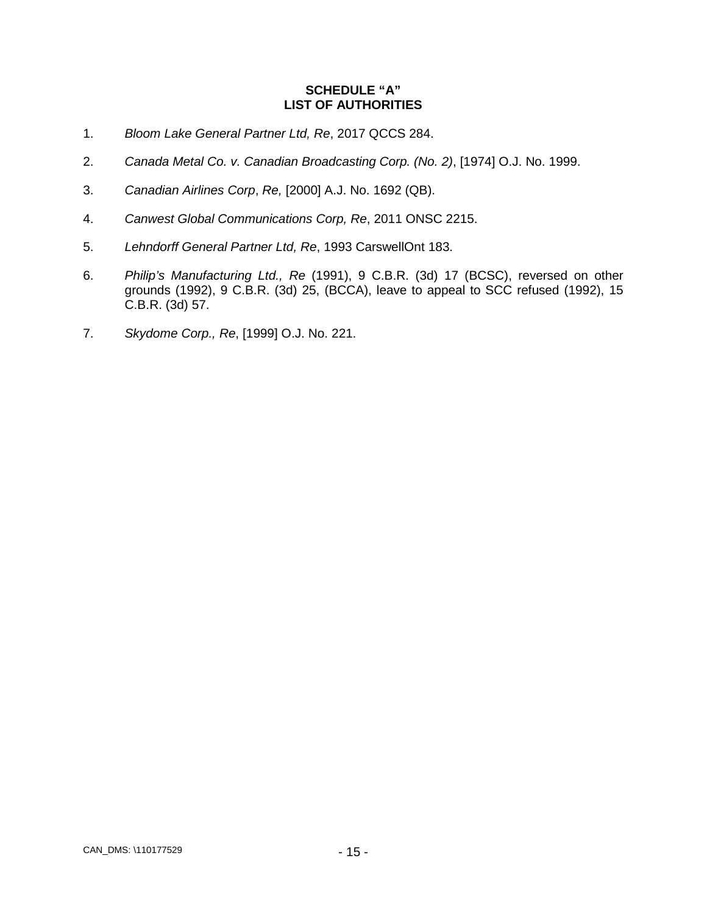### **SCHEDULE "A" LIST OF AUTHORITIES**

- 1. *Bloom Lake General Partner Ltd, Re*, 2017 QCCS 284.
- 2. *Canada Metal Co. v. Canadian Broadcasting Corp. (No. 2)*, [1974] O.J. No. 1999.
- 3. *Canadian Airlines Corp*, *Re,* [2000] A.J. No. 1692 (QB).
- 4. *Canwest Global Communications Corp, Re*, 2011 ONSC 2215.
- 5. *Lehndorff General Partner Ltd, Re*, 1993 CarswellOnt 183.
- 6. *Philip's Manufacturing Ltd., Re* (1991), 9 C.B.R. (3d) 17 (BCSC), reversed on other grounds (1992), 9 C.B.R. (3d) 25, (BCCA), leave to appeal to SCC refused (1992), 15 C.B.R. (3d) 57.
- 7. *Skydome Corp., Re*, [1999] O.J. No. 221.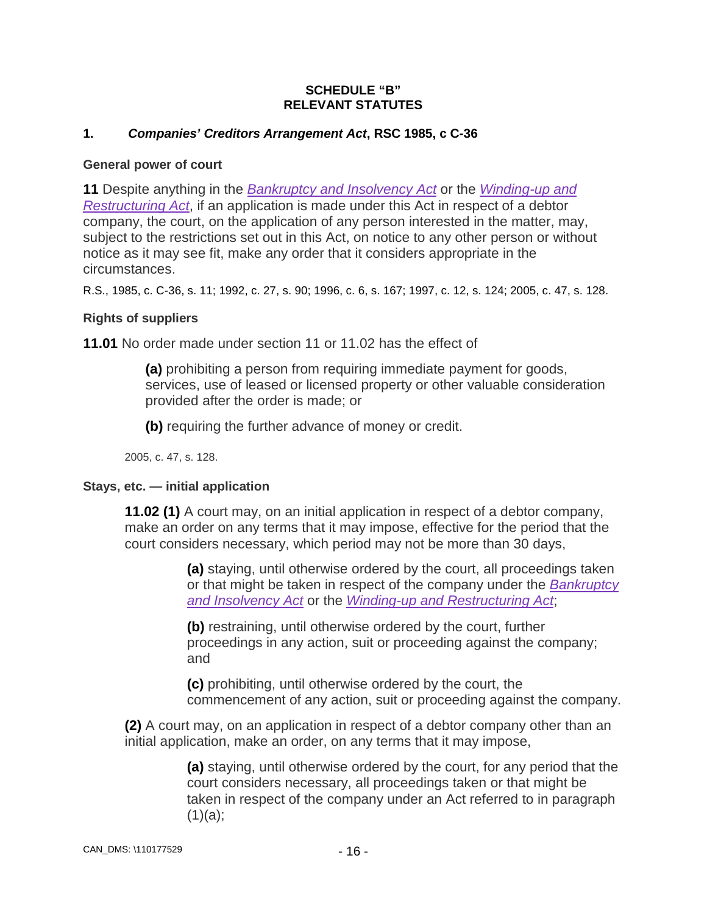### **SCHEDULE "B" RELEVANT STATUTES**

### **1.** *Companies' Creditors Arrangement Act***, RSC 1985, c C-36**

#### **General power of court**

**11** Despite anything in the *Bankruptcy and Insolvency Act* or the *Winding-up and Restructuring Act*, if an application is made under this Act in respect of a debtor company, the court, on the application of any person interested in the matter, may, subject to the restrictions set out in this Act, on notice to any other person or without notice as it may see fit, make any order that it considers appropriate in the circumstances.

R.S., 1985, c. C-36, s. 11; 1992, c. 27, s. 90; 1996, c. 6, s. 167; 1997, c. 12, s. 124; 2005, c. 47, s. 128.

#### **Rights of suppliers**

**11.01** No order made under section 11 or 11.02 has the effect of

**(a)** prohibiting a person from requiring immediate payment for goods, services, use of leased or licensed property or other valuable consideration provided after the order is made; or

**(b)** requiring the further advance of money or credit.

2005, c. 47, s. 128.

#### **Stays, etc. — initial application**

**11.02 (1)** A court may, on an initial application in respect of a debtor company, make an order on any terms that it may impose, effective for the period that the court considers necessary, which period may not be more than 30 days,

> **(a)** staying, until otherwise ordered by the court, all proceedings taken or that might be taken in respect of the company under the *Bankruptcy and Insolvency Act* or the *Winding-up and Restructuring Act*;

**(b)** restraining, until otherwise ordered by the court, further proceedings in any action, suit or proceeding against the company; and

**(c)** prohibiting, until otherwise ordered by the court, the commencement of any action, suit or proceeding against the company.

**(2)** A court may, on an application in respect of a debtor company other than an initial application, make an order, on any terms that it may impose,

> **(a)** staying, until otherwise ordered by the court, for any period that the court considers necessary, all proceedings taken or that might be taken in respect of the company under an Act referred to in paragraph  $(1)(a)$ ;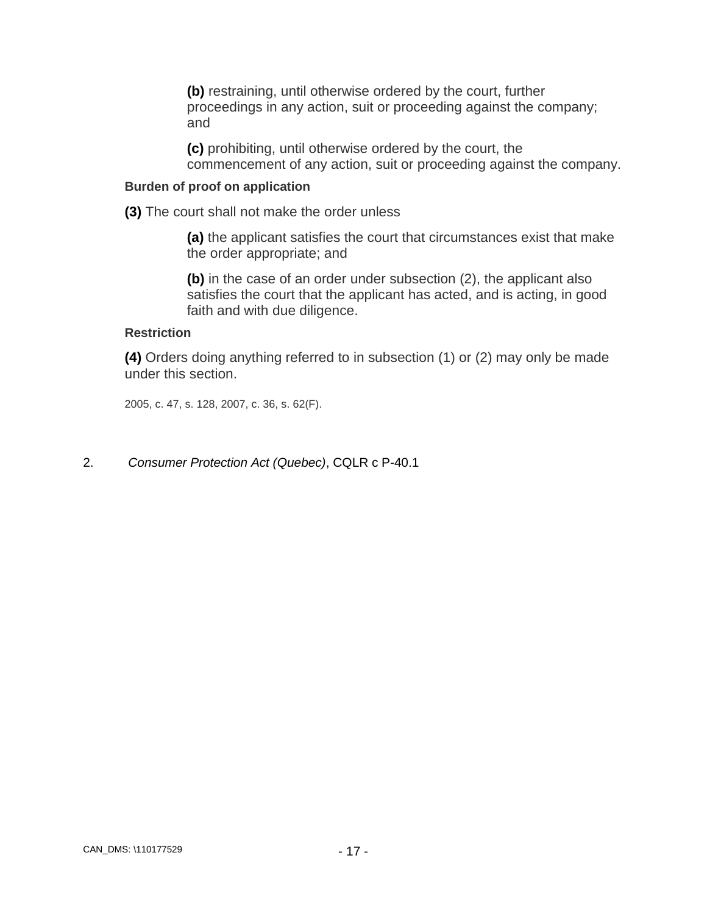**(b)** restraining, until otherwise ordered by the court, further proceedings in any action, suit or proceeding against the company; and

**(c)** prohibiting, until otherwise ordered by the court, the commencement of any action, suit or proceeding against the company.

### **Burden of proof on application**

**(3)** The court shall not make the order unless

**(a)** the applicant satisfies the court that circumstances exist that make the order appropriate; and

**(b)** in the case of an order under subsection (2), the applicant also satisfies the court that the applicant has acted, and is acting, in good faith and with due diligence.

#### **Restriction**

**(4)** Orders doing anything referred to in subsection (1) or (2) may only be made under this section.

2005, c. 47, s. 128, 2007, c. 36, s. 62(F).

2. *Consumer Protection Act (Quebec)*, CQLR c P-40.1